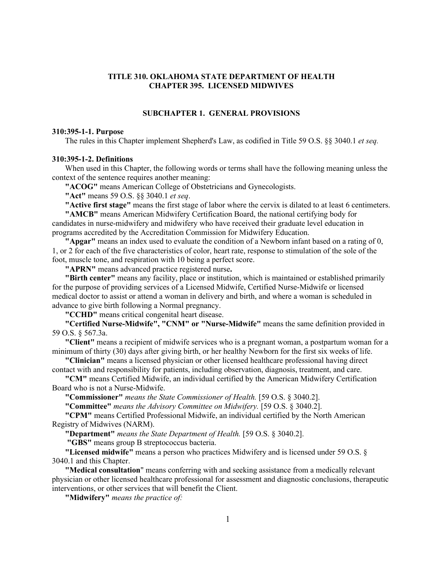# **TITLE 310. OKLAHOMA STATE DEPARTMENT OF HEALTH CHAPTER 395. LICENSED MIDWIVES**

# **SUBCHAPTER 1. GENERAL PROVISIONS**

#### **310:395-1-1. Purpose**

The rules in this Chapter implement Shepherd's Law, as codified in Title 59 O.S. §§ 3040.1 *et seq.*

# **310:395-1-2. Definitions**

When used in this Chapter, the following words or terms shall have the following meaning unless the context of the sentence requires another meaning:

**"ACOG"** means American College of Obstetricians and Gynecologists.

**"Act"** means 59 O.S. §§ 3040.1 *et seq*.

**"Active first stage"** means the first stage of labor where the cervix is dilated to at least 6 centimeters.

**"AMCB"** means American Midwifery Certification Board, the national certifying body for candidates in nurse-midwifery and midwifery who have received their graduate level education in programs accredited by the Accreditation Commission for Midwifery Education.

**"Apgar"** means an index used to evaluate the condition of a Newborn infant based on a rating of 0, 1, or 2 for each of the five characteristics of color, heart rate, response to stimulation of the sole of the foot, muscle tone, and respiration with 10 being a perfect score.

**"APRN"** means advanced practice registered nurse**.**

**"Birth center"** means any facility, place or institution, which is maintained or established primarily for the purpose of providing services of a Licensed Midwife, Certified Nurse-Midwife or licensed medical doctor to assist or attend a woman in delivery and birth, and where a woman is scheduled in advance to give birth following a Normal pregnancy.

**"CCHD"** means critical congenital heart disease.

**"Certified Nurse-Midwife", "CNM" or "Nurse-Midwife"** means the same definition provided in 59 O.S. § 567.3a.

**"Client"** means a recipient of midwife services who is a pregnant woman, a postpartum woman for a minimum of thirty (30) days after giving birth, or her healthy Newborn for the first six weeks of life.

**"Clinician"** means a licensed physician or other licensed healthcare professional having direct contact with and responsibility for patients, including observation, diagnosis, treatment, and care.

**"CM"** means Certified Midwife, an individual certified by the American Midwifery Certification Board who is not a Nurse-Midwife.

**"Commissioner"** *means the State Commissioner of Health.* [59 O.S. § 3040.2].

**"Committee"** *means the Advisory Committee on Midwifery.* [59 O.S. § 3040.2].

**"CPM"** means Certified Professional Midwife, an individual certified by the North American Registry of Midwives (NARM).

**"Department"** *means the State Department of Health.* [59 O.S. § 3040.2].

**"GBS"** means group B streptococcus bacteria.

**"Licensed midwife"** means a person who practices Midwifery and is licensed under 59 O.S. § 3040.1 and this Chapter.

**"Medical consultation**" means conferring with and seeking assistance from a medically relevant physician or other licensed healthcare professional for assessment and diagnostic conclusions, therapeutic interventions, or other services that will benefit the Client.

**"Midwifery"** *means the practice of:*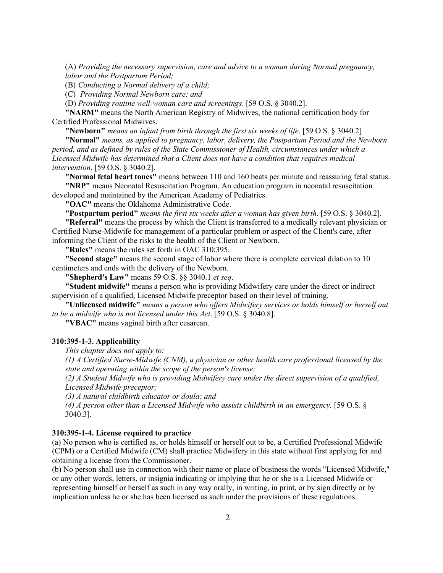(A) *Providing the necessary supervision, care and advice to a woman during Normal pregnancy, labor and the Postpartum Period;*

(B) *Conducting a Normal delivery of a child;*

(C) *Providing Normal Newborn care; and*

(D) *Providing routine well-woman care and screenings*. [59 O.S. § 3040.2].

**"NARM"** means the North American Registry of Midwives, the national certification body for Certified Professional Midwives.

**"Newborn"** *means an infant from birth through the first six weeks of life*. [59 O.S. § 3040.2]

**"Normal"** *means, as applied to pregnancy, labor, delivery, the Postpartum Period and the Newborn period, and as defined by rules of the State Commissioner of Health, circumstances under which a Licensed Midwife has determined that a Client does not have a condition that requires medical intervention*. [59 O.S. § 3040.2].

**"Normal fetal heart tones"** means between 110 and 160 beats per minute and reassuring fetal status. **"NRP"** means Neonatal Resuscitation Program. An education program in neonatal resuscitation developed and maintained by the American Academy of Pediatrics.

**"OAC"** means the Oklahoma Administrative Code.

**"Postpartum period"** *means the first six weeks after a woman has given birth*. [59 O.S. § 3040.2].

**"Referral"** means the process by which the Client is transferred to a medically relevant physician or Certified Nurse-Midwife for management of a particular problem or aspect of the Client's care, after informing the Client of the risks to the health of the Client or Newborn.

**"Rules"** means the rules set forth in OAC 310:395.

**"Second stage"** means the second stage of labor where there is complete cervical dilation to 10 centimeters and ends with the delivery of the Newborn.

**"Shepherd's Law"** means 59 O.S. §§ 3040.1 *et seq*.

**"Student midwife"** means a person who is providing Midwifery care under the direct or indirect supervision of a qualified, Licensed Midwife preceptor based on their level of training.

**"Unlicensed midwife"** *means a person who offers Midwifery services or holds himself or herself out to be a midwife who is not licensed under this Act*. [59 O.S. § 3040.8].

**"VBAC"** means vaginal birth after cesarean.

#### **310:395-1-3. Applicability**

*This chapter does not apply to:*

*(1) A Certified Nurse-Midwife (CNM), a physician or other health care professional licensed by the state and operating within the scope of the person's license;*

*(2) A Student Midwife who is providing Midwifery care under the direct supervision of a qualified, Licensed Midwife preceptor;*

*(3) A natural childbirth educator or doula; and*

*(4) A person other than a Licensed Midwife who assists childbirth in an emergency.* [59 O.S. § 3040.3].

### **310:395-1-4. License required to practice**

(a) No person who is certified as, or holds himself or herself out to be, a Certified Professional Midwife (CPM) or a Certified Midwife (CM) shall practice Midwifery in this state without first applying for and obtaining a license from the Commissioner.

(b) No person shall use in connection with their name or place of business the words "Licensed Midwife," or any other words, letters, or insignia indicating or implying that he or she is a Licensed Midwife or representing himself or herself as such in any way orally, in writing, in print, or by sign directly or by implication unless he or she has been licensed as such under the provisions of these regulations.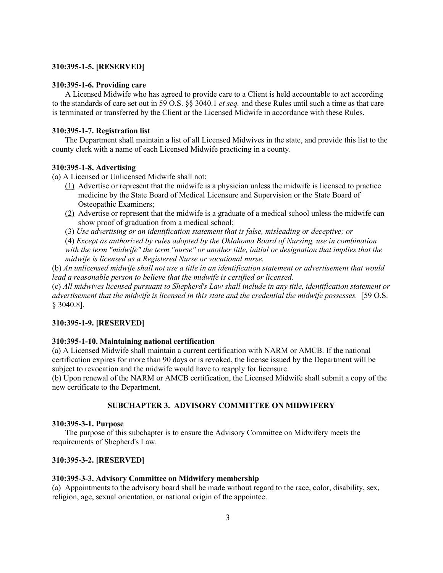### **310:395-1-5. [RESERVED]**

### **310:395-1-6. Providing care**

A Licensed Midwife who has agreed to provide care to a Client is held accountable to act according to the standards of care set out in 59 O.S. §§ 3040.1 *et seq.* and these Rules until such a time as that care is terminated or transferred by the Client or the Licensed Midwife in accordance with these Rules.

### **310:395-1-7. Registration list**

The Department shall maintain a list of all Licensed Midwives in the state, and provide this list to the county clerk with a name of each Licensed Midwife practicing in a county.

### **310:395-1-8. Advertising**

(a) A Licensed or Unlicensed Midwife shall not:

- (1) Advertise or represent that the midwife is a physician unless the midwife is licensed to practice medicine by the State Board of Medical Licensure and Supervision or the State Board of Osteopathic Examiners;
- (2) Advertise or represent that the midwife is a graduate of a medical school unless the midwife can show proof of graduation from a medical school;
- (3) *Use advertising or an identification statement that is false, misleading or deceptive; or*
- (4) *Except as authorized by rules adopted by the Oklahoma Board of Nursing, use in combination*

*with the term "midwife" the term "nurse" or another title, initial or designation that implies that the midwife is licensed as a Registered Nurse or vocational nurse.*

(b) *An unlicensed midwife shall not use a title in an identification statement or advertisement that would lead a reasonable person to believe that the midwife is certified or licensed.*

(c) *All midwives licensed pursuant to Shepherd's Law shall include in any title, identification statement or advertisement that the midwife is licensed in this state and the credential the midwife possesses.* [59 O.S. § 3040.8].

### **310:395-1-9. [RESERVED]**

#### **310:395-1-10. Maintaining national certification**

(a) A Licensed Midwife shall maintain a current certification with NARM or AMCB. If the national certification expires for more than 90 days or is revoked, the license issued by the Department will be subject to revocation and the midwife would have to reapply for licensure.

(b) Upon renewal of the NARM or AMCB certification, the Licensed Midwife shall submit a copy of the new certificate to the Department.

# **SUBCHAPTER 3. ADVISORY COMMITTEE ON MIDWIFERY**

#### **310:395-3-1. Purpose**

The purpose of this subchapter is to ensure the Advisory Committee on Midwifery meets the requirements of Shepherd's Law.

### **310:395-3-2. [RESERVED]**

#### **310:395-3-3. Advisory Committee on Midwifery membership**

(a) Appointments to the advisory board shall be made without regard to the race, color, disability, sex, religion, age, sexual orientation, or national origin of the appointee.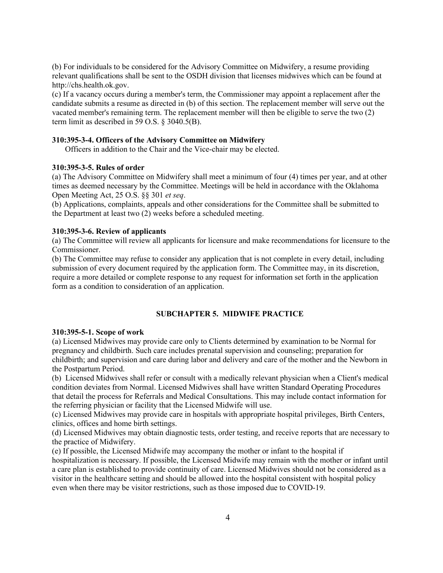(b) For individuals to be considered for the Advisory Committee on Midwifery, a resume providing relevant qualifications shall be sent to the OSDH division that licenses midwives which can be found at http://chs.health.ok.gov.

(c) If a vacancy occurs during a member's term, the Commissioner may appoint a replacement after the candidate submits a resume as directed in (b) of this section. The replacement member will serve out the vacated member's remaining term. The replacement member will then be eligible to serve the two (2) term limit as described in 59 O.S. § 3040.5(B).

#### **310:395-3-4. Officers of the Advisory Committee on Midwifery**

Officers in addition to the Chair and the Vice-chair may be elected.

# **310:395-3-5. Rules of order**

(a) The Advisory Committee on Midwifery shall meet a minimum of four (4) times per year, and at other times as deemed necessary by the Committee. Meetings will be held in accordance with the Oklahoma Open Meeting Act, 25 O.S. §§ 301 *et seq*.

(b) Applications, complaints, appeals and other considerations for the Committee shall be submitted to the Department at least two (2) weeks before a scheduled meeting.

### **310:395-3-6. Review of applicants**

(a) The Committee will review all applicants for licensure and make recommendations for licensure to the Commissioner.

(b) The Committee may refuse to consider any application that is not complete in every detail, including submission of every document required by the application form. The Committee may, in its discretion, require a more detailed or complete response to any request for information set forth in the application form as a condition to consideration of an application.

### **SUBCHAPTER 5. MIDWIFE PRACTICE**

#### **310:395-5-1. Scope of work**

(a) Licensed Midwives may provide care only to Clients determined by examination to be Normal for pregnancy and childbirth. Such care includes prenatal supervision and counseling; preparation for childbirth; and supervision and care during labor and delivery and care of the mother and the Newborn in the Postpartum Period.

(b) Licensed Midwives shall refer or consult with a medically relevant physician when a Client's medical condition deviates from Normal. Licensed Midwives shall have written Standard Operating Procedures that detail the process for Referrals and Medical Consultations. This may include contact information for the referring physician or facility that the Licensed Midwife will use.

(c) Licensed Midwives may provide care in hospitals with appropriate hospital privileges, Birth Centers, clinics, offices and home birth settings.

(d) Licensed Midwives may obtain diagnostic tests, order testing, and receive reports that are necessary to the practice of Midwifery.

(e) If possible, the Licensed Midwife may accompany the mother or infant to the hospital if hospitalization is necessary. If possible, the Licensed Midwife may remain with the mother or infant until a care plan is established to provide continuity of care. Licensed Midwives should not be considered as a visitor in the healthcare setting and should be allowed into the hospital consistent with hospital policy even when there may be visitor restrictions, such as those imposed due to COVID-19.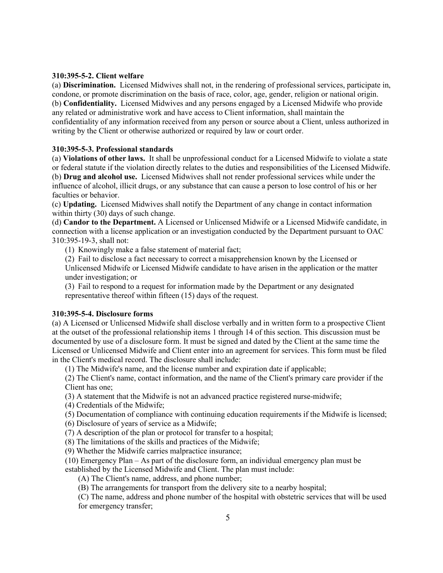# **310:395-5-2. Client welfare**

(a) **Discrimination.** Licensed Midwives shall not, in the rendering of professional services, participate in, condone, or promote discrimination on the basis of race, color, age, gender, religion or national origin. (b) **Confidentiality.** Licensed Midwives and any persons engaged by a Licensed Midwife who provide any related or administrative work and have access to Client information, shall maintain the confidentiality of any information received from any person or source about a Client, unless authorized in writing by the Client or otherwise authorized or required by law or court order.

# **310:395-5-3. Professional standards**

(a) **Violations of other laws.** It shall be unprofessional conduct for a Licensed Midwife to violate a state or federal statute if the violation directly relates to the duties and responsibilities of the Licensed Midwife. (b) **Drug and alcohol use.** Licensed Midwives shall not render professional services while under the influence of alcohol, illicit drugs, or any substance that can cause a person to lose control of his or her faculties or behavior.

(c) **Updating.** Licensed Midwives shall notify the Department of any change in contact information within thirty (30) days of such change.

(d) **Candor to the Department.** A Licensed or Unlicensed Midwife or a Licensed Midwife candidate, in connection with a license application or an investigation conducted by the Department pursuant to OAC 310:395-19-3, shall not:

(1) Knowingly make a false statement of material fact;

(2) Fail to disclose a fact necessary to correct a misapprehension known by the Licensed or Unlicensed Midwife or Licensed Midwife candidate to have arisen in the application or the matter under investigation; or

(3) Fail to respond to a request for information made by the Department or any designated representative thereof within fifteen (15) days of the request.

### **310:395-5-4. Disclosure forms**

(a) A Licensed or Unlicensed Midwife shall disclose verbally and in written form to a prospective Client at the outset of the professional relationship items 1 through 14 of this section. This discussion must be documented by use of a disclosure form. It must be signed and dated by the Client at the same time the Licensed or Unlicensed Midwife and Client enter into an agreement for services. This form must be filed in the Client's medical record. The disclosure shall include:

(1) The Midwife's name, and the license number and expiration date if applicable;

(2) The Client's name, contact information, and the name of the Client's primary care provider if the Client has one;

(3) A statement that the Midwife is not an advanced practice registered nurse-midwife;

(4) Credentials of the Midwife;

(5) Documentation of compliance with continuing education requirements if the Midwife is licensed;

(6) Disclosure of years of service as a Midwife;

(7) A description of the plan or protocol for transfer to a hospital;

(8) The limitations of the skills and practices of the Midwife;

(9) Whether the Midwife carries malpractice insurance;

(10) Emergency Plan – As part of the disclosure form, an individual emergency plan must be established by the Licensed Midwife and Client. The plan must include:

(A) The Client's name, address, and phone number;

(B) The arrangements for transport from the delivery site to a nearby hospital;

(C) The name, address and phone number of the hospital with obstetric services that will be used for emergency transfer;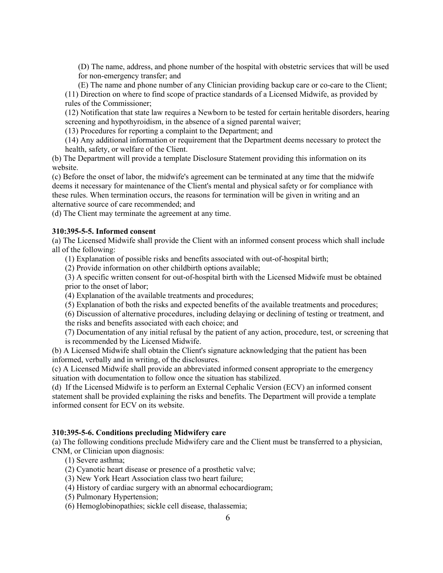(D) The name, address, and phone number of the hospital with obstetric services that will be used for non-emergency transfer; and

(E) The name and phone number of any Clinician providing backup care or co-care to the Client; (11) Direction on where to find scope of practice standards of a Licensed Midwife, as provided by rules of the Commissioner;

(12) Notification that state law requires a Newborn to be tested for certain heritable disorders, hearing screening and hypothyroidism, in the absence of a signed parental waiver;

(13) Procedures for reporting a complaint to the Department; and

(14) Any additional information or requirement that the Department deems necessary to protect the health, safety, or welfare of the Client.

(b) The Department will provide a template Disclosure Statement providing this information on its website.

(c) Before the onset of labor, the midwife's agreement can be terminated at any time that the midwife deems it necessary for maintenance of the Client's mental and physical safety or for compliance with these rules. When termination occurs, the reasons for termination will be given in writing and an alternative source of care recommended; and

(d) The Client may terminate the agreement at any time.

### **310:395-5-5. Informed consent**

(a) The Licensed Midwife shall provide the Client with an informed consent process which shall include all of the following:

(1) Explanation of possible risks and benefits associated with out-of-hospital birth;

(2) Provide information on other childbirth options available;

(3) A specific written consent for out-of-hospital birth with the Licensed Midwife must be obtained prior to the onset of labor;

(4) Explanation of the available treatments and procedures;

- (5) Explanation of both the risks and expected benefits of the available treatments and procedures;
- (6) Discussion of alternative procedures, including delaying or declining of testing or treatment, and

the risks and benefits associated with each choice; and

(7) Documentation of any initial refusal by the patient of any action, procedure, test, or screening that is recommended by the Licensed Midwife.

(b) A Licensed Midwife shall obtain the Client's signature acknowledging that the patient has been informed, verbally and in writing, of the disclosures.

(c) A Licensed Midwife shall provide an abbreviated informed consent appropriate to the emergency situation with documentation to follow once the situation has stabilized.

(d) If the Licensed Midwife is to perform an External Cephalic Version (ECV) an informed consent statement shall be provided explaining the risks and benefits. The Department will provide a template informed consent for ECV on its website.

### **310:395-5-6. Conditions precluding Midwifery care**

(a) The following conditions preclude Midwifery care and the Client must be transferred to a physician, CNM, or Clinician upon diagnosis:

- (1) Severe asthma;
- (2) Cyanotic heart disease or presence of a prosthetic valve;
- (3) New York Heart Association class two heart failure;
- (4) History of cardiac surgery with an abnormal echocardiogram;
- (5) Pulmonary Hypertension;
- (6) Hemoglobinopathies; sickle cell disease, thalassemia;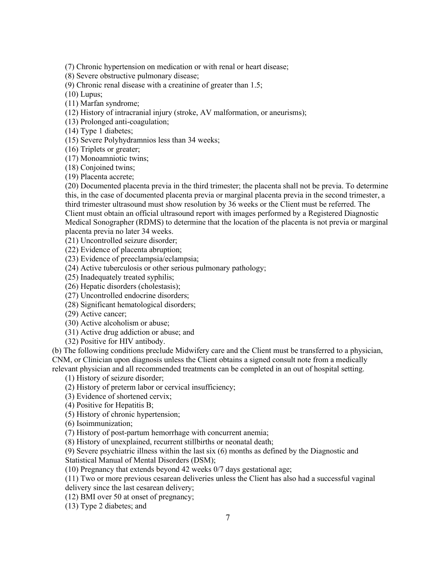(7) Chronic hypertension on medication or with renal or heart disease;

(8) Severe obstructive pulmonary disease;

(9) Chronic renal disease with a creatinine of greater than 1.5;

(10) Lupus;

(11) Marfan syndrome;

(12) History of intracranial injury (stroke, AV malformation, or aneurisms);

(13) Prolonged anti-coagulation;

(14) Type 1 diabetes;

(15) Severe Polyhydramnios less than 34 weeks;

(16) Triplets or greater;

(17) Monoamniotic twins;

(18) Conjoined twins;

(19) Placenta accrete;

(20) Documented placenta previa in the third trimester; the placenta shall not be previa. To determine this, in the case of documented placenta previa or marginal placenta previa in the second trimester, a third trimester ultrasound must show resolution by 36 weeks or the Client must be referred. The Client must obtain an official ultrasound report with images performed by a Registered Diagnostic Medical Sonographer (RDMS) to determine that the location of the placenta is not previa or marginal placenta previa no later 34 weeks.

(21) Uncontrolled seizure disorder;

(22) Evidence of placenta abruption;

(23) Evidence of preeclampsia/eclampsia;

(24) Active tuberculosis or other serious pulmonary pathology;

(25) Inadequately treated syphilis;

(26) Hepatic disorders (cholestasis);

(27) Uncontrolled endocrine disorders;

(28) Significant hematological disorders;

(29) Active cancer;

(30) Active alcoholism or abuse;

(31) Active drug addiction or abuse; and

(32) Positive for HIV antibody.

(b) The following conditions preclude Midwifery care and the Client must be transferred to a physician, CNM, or Clinician upon diagnosis unless the Client obtains a signed consult note from a medically relevant physician and all recommended treatments can be completed in an out of hospital setting.

(1) History of seizure disorder;

(2) History of preterm labor or cervical insufficiency;

(3) Evidence of shortened cervix;

(4) Positive for Hepatitis B;

(5) History of chronic hypertension;

(6) Isoimmunization;

(7) History of post-partum hemorrhage with concurrent anemia;

(8) History of unexplained, recurrent stillbirths or neonatal death;

(9) Severe psychiatric illness within the last six (6) months as defined by the Diagnostic and

Statistical Manual of Mental Disorders (DSM);

(10) Pregnancy that extends beyond 42 weeks 0/7 days gestational age;

(11) Two or more previous cesarean deliveries unless the Client has also had a successful vaginal

delivery since the last cesarean delivery;

(12) BMI over 50 at onset of pregnancy;

(13) Type 2 diabetes; and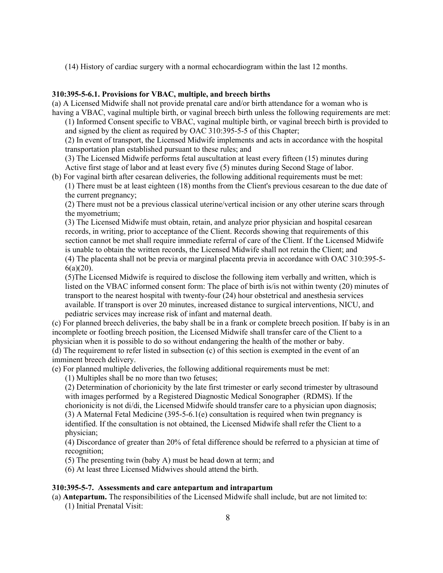(14) History of cardiac surgery with a normal echocardiogram within the last 12 months.

### **310:395-5-6.1. Provisions for VBAC, multiple, and breech births**

(a) A Licensed Midwife shall not provide prenatal care and/or birth attendance for a woman who is having a VBAC, vaginal multiple birth, or vaginal breech birth unless the following requirements are met:

(1) Informed Consent specific to VBAC, vaginal multiple birth, or vaginal breech birth is provided to and signed by the client as required by OAC 310:395-5-5 of this Chapter;

(2) In event of transport, the Licensed Midwife implements and acts in accordance with the hospital transportation plan established pursuant to these rules; and

(3) The Licensed Midwife performs fetal auscultation at least every fifteen (15) minutes during Active first stage of labor and at least every five (5) minutes during Second Stage of labor.

(b) For vaginal birth after cesarean deliveries, the following additional requirements must be met:

(1) There must be at least eighteen (18) months from the Client's previous cesarean to the due date of the current pregnancy;

(2) There must not be a previous classical uterine/vertical incision or any other uterine scars through the myometrium;

(3) The Licensed Midwife must obtain, retain, and analyze prior physician and hospital cesarean records, in writing, prior to acceptance of the Client. Records showing that requirements of this section cannot be met shall require immediate referral of care of the Client. If the Licensed Midwife is unable to obtain the written records, the Licensed Midwife shall not retain the Client; and (4) The placenta shall not be previa or marginal placenta previa in accordance with OAC 310:395-5- 6(a)(20).

(5)The Licensed Midwife is required to disclose the following item verbally and written, which is listed on the VBAC informed consent form: The place of birth is/is not within twenty (20) minutes of transport to the nearest hospital with twenty-four (24) hour obstetrical and anesthesia services available. If transport is over 20 minutes, increased distance to surgical interventions, NICU, and

pediatric services may increase risk of infant and maternal death.

(c) For planned breech deliveries, the baby shall be in a frank or complete breech position. If baby is in an incomplete or footling breech position, the Licensed Midwife shall transfer care of the Client to a physician when it is possible to do so without endangering the health of the mother or baby. (d) The requirement to refer listed in subsection (c) of this section is exempted in the event of an imminent breech delivery.

(e) For planned multiple deliveries, the following additional requirements must be met:

(1) Multiples shall be no more than two fetuses;

(2) Determination of chorionicity by the late first trimester or early second trimester by ultrasound with images performed by a Registered Diagnostic Medical Sonographer (RDMS). If the chorionicity is not di/di, the Licensed Midwife should transfer care to a physician upon diagnosis; (3) A Maternal Fetal Medicine (395-5-6.1(e) consultation is required when twin pregnancy is identified. If the consultation is not obtained, the Licensed Midwife shall refer the Client to a physician;

(4) Discordance of greater than 20% of fetal difference should be referred to a physician at time of recognition;

(5) The presenting twin (baby A) must be head down at term; and

(6) At least three Licensed Midwives should attend the birth.

### **310:395-5-7. Assessments and care antepartum and intrapartum**

(a) **Antepartum.** The responsibilities of the Licensed Midwife shall include, but are not limited to: (1) Initial Prenatal Visit: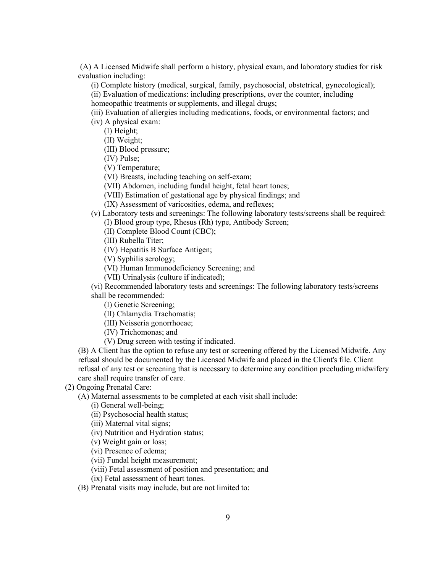(A) A Licensed Midwife shall perform a history, physical exam, and laboratory studies for risk evaluation including:

(i) Complete history (medical, surgical, family, psychosocial, obstetrical, gynecological);

(ii) Evaluation of medications: including prescriptions, over the counter, including

homeopathic treatments or supplements, and illegal drugs;

(iii) Evaluation of allergies including medications, foods, or environmental factors; and (iv) A physical exam:

(I) Height;

(II) Weight;

(III) Blood pressure;

(IV) Pulse;

(V) Temperature;

(VI) Breasts, including teaching on self-exam;

(VII) Abdomen, including fundal height, fetal heart tones;

(VIII) Estimation of gestational age by physical findings; and

(IX) Assessment of varicosities, edema, and reflexes;

(v) Laboratory tests and screenings: The following laboratory tests/screens shall be required: (I) Blood group type, Rhesus (Rh) type, Antibody Screen;

(II) Complete Blood Count (CBC);

(III) Rubella Titer;

(IV) Hepatitis B Surface Antigen;

(V) Syphilis serology;

(VI) Human Immunodeficiency Screening; and

(VII) Urinalysis (culture if indicated);

(vi) Recommended laboratory tests and screenings: The following laboratory tests/screens shall be recommended:

(I) Genetic Screening;

(II) Chlamydia Trachomatis; (III) Neisseria gonorrhoeae;

(IV) Trichomonas; and

(V) Drug screen with testing if indicated.

(B) A Client has the option to refuse any test or screening offered by the Licensed Midwife. Any refusal should be documented by the Licensed Midwife and placed in the Client's file. Client refusal of any test or screening that is necessary to determine any condition precluding midwifery care shall require transfer of care.

(2) Ongoing Prenatal Care:

(A) Maternal assessments to be completed at each visit shall include:

(i) General well-being;

(ii) Psychosocial health status;

(iii) Maternal vital signs;

(iv) Nutrition and Hydration status;

(v) Weight gain or loss;

(vi) Presence of edema;

(vii) Fundal height measurement;

(viii) Fetal assessment of position and presentation; and

(ix) Fetal assessment of heart tones.

(B) Prenatal visits may include, but are not limited to: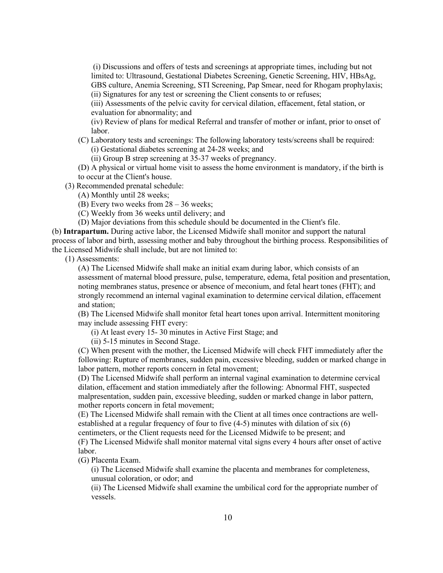(i) Discussions and offers of tests and screenings at appropriate times, including but not limited to: Ultrasound, Gestational Diabetes Screening, Genetic Screening, HIV, HBsAg, GBS culture, Anemia Screening, STI Screening, Pap Smear, need for Rhogam prophylaxis; (ii) Signatures for any test or screening the Client consents to or refuses;

(iii) Assessments of the pelvic cavity for cervical dilation, effacement, fetal station, or evaluation for abnormality; and

(iv) Review of plans for medical Referral and transfer of mother or infant, prior to onset of labor.

(C) Laboratory tests and screenings: The following laboratory tests/screens shall be required: (i) Gestational diabetes screening at 24-28 weeks; and

(ii) Group B strep screening at 35-37 weeks of pregnancy.

(D) A physical or virtual home visit to assess the home environment is mandatory, if the birth is to occur at the Client's house.

(3) Recommended prenatal schedule:

(A) Monthly until 28 weeks;

(B) Every two weeks from 28 – 36 weeks;

(C) Weekly from 36 weeks until delivery; and

(D) Major deviations from this schedule should be documented in the Client's file.

(b) **Intrapartum.** During active labor, the Licensed Midwife shall monitor and support the natural process of labor and birth, assessing mother and baby throughout the birthing process. Responsibilities of the Licensed Midwife shall include, but are not limited to:

(1) Assessments:

(A) The Licensed Midwife shall make an initial exam during labor, which consists of an assessment of maternal blood pressure, pulse, temperature, edema, fetal position and presentation, noting membranes status, presence or absence of meconium, and fetal heart tones (FHT); and strongly recommend an internal vaginal examination to determine cervical dilation, effacement and station;

(B) The Licensed Midwife shall monitor fetal heart tones upon arrival. Intermittent monitoring may include assessing FHT every:

(i) At least every 15- 30 minutes in Active First Stage; and

(ii) 5-15 minutes in Second Stage.

(C) When present with the mother, the Licensed Midwife will check FHT immediately after the following: Rupture of membranes, sudden pain, excessive bleeding, sudden or marked change in labor pattern, mother reports concern in fetal movement;

(D) The Licensed Midwife shall perform an internal vaginal examination to determine cervical dilation, effacement and station immediately after the following: Abnormal FHT, suspected malpresentation, sudden pain, excessive bleeding, sudden or marked change in labor pattern, mother reports concern in fetal movement;

(E) The Licensed Midwife shall remain with the Client at all times once contractions are wellestablished at a regular frequency of four to five (4-5) minutes with dilation of six (6)

centimeters, or the Client requests need for the Licensed Midwife to be present; and (F) The Licensed Midwife shall monitor maternal vital signs every 4 hours after onset of active labor.

(G) Placenta Exam.

(i) The Licensed Midwife shall examine the placenta and membranes for completeness, unusual coloration, or odor; and

(ii) The Licensed Midwife shall examine the umbilical cord for the appropriate number of vessels.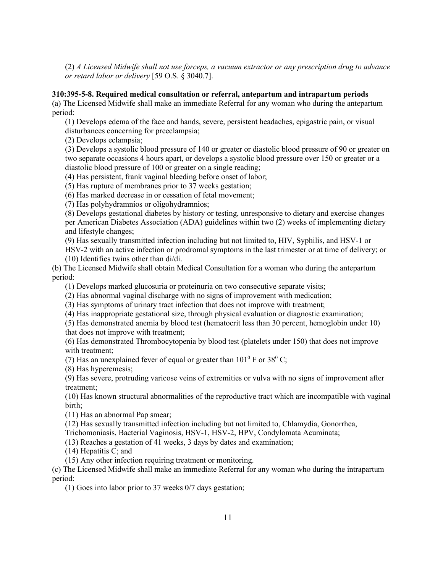(2) *A Licensed Midwife shall not use forceps, a vacuum extractor or any prescription drug to advance or retard labor or delivery* [59 O.S. § 3040.7].

### **310:395-5-8. Required medical consultation or referral, antepartum and intrapartum periods**

(a) The Licensed Midwife shall make an immediate Referral for any woman who during the antepartum period:

(1) Develops edema of the face and hands, severe, persistent headaches, epigastric pain, or visual disturbances concerning for preeclampsia;

(2) Develops eclampsia;

(3) Develops a systolic blood pressure of 140 or greater or diastolic blood pressure of 90 or greater on two separate occasions 4 hours apart, or develops a systolic blood pressure over 150 or greater or a diastolic blood pressure of 100 or greater on a single reading;

(4) Has persistent, frank vaginal bleeding before onset of labor;

(5) Has rupture of membranes prior to 37 weeks gestation;

(6) Has marked decrease in or cessation of fetal movement;

(7) Has polyhydramnios or oligohydramnios;

(8) Develops gestational diabetes by history or testing, unresponsive to dietary and exercise changes per American Diabetes Association (ADA) guidelines within two (2) weeks of implementing dietary and lifestyle changes;

(9) Has sexually transmitted infection including but not limited to, HIV, Syphilis, and HSV-1 or

- HSV-2 with an active infection or prodromal symptoms in the last trimester or at time of delivery; or
- (10) Identifies twins other than di/di.

(b) The Licensed Midwife shall obtain Medical Consultation for a woman who during the antepartum period:

(1) Develops marked glucosuria or proteinuria on two consecutive separate visits;

(2) Has abnormal vaginal discharge with no signs of improvement with medication;

(3) Has symptoms of urinary tract infection that does not improve with treatment;

(4) Has inappropriate gestational size, through physical evaluation or diagnostic examination;

(5) Has demonstrated anemia by blood test (hematocrit less than 30 percent, hemoglobin under 10) that does not improve with treatment;

(6) Has demonstrated Thrombocytopenia by blood test (platelets under 150) that does not improve with treatment;

(7) Has an unexplained fever of equal or greater than  $101^{\circ}$  F or  $38^{\circ}$  C;

(8) Has hyperemesis;

(9) Has severe, protruding varicose veins of extremities or vulva with no signs of improvement after treatment;

(10) Has known structural abnormalities of the reproductive tract which are incompatible with vaginal birth;

(11) Has an abnormal Pap smear;

(12) Has sexually transmitted infection including but not limited to, Chlamydia, Gonorrhea,

Trichomoniasis, Bacterial Vaginosis, HSV-1, HSV-2, HPV, Condylomata Acuminata;

(13) Reaches a gestation of 41 weeks, 3 days by dates and examination;

(14) Hepatitis C; and

(15) Any other infection requiring treatment or monitoring.

(c) The Licensed Midwife shall make an immediate Referral for any woman who during the intrapartum period:

(1) Goes into labor prior to 37 weeks 0/7 days gestation;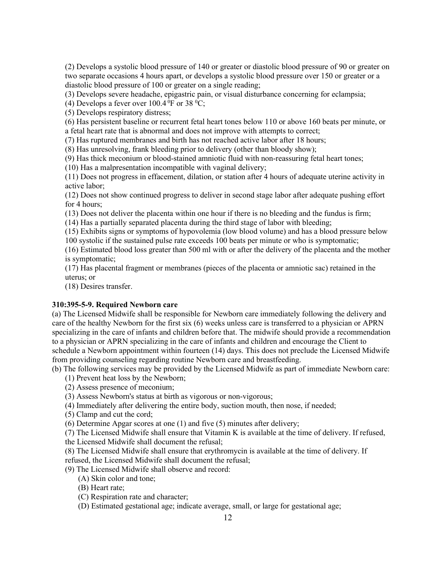(2) Develops a systolic blood pressure of 140 or greater or diastolic blood pressure of 90 or greater on two separate occasions 4 hours apart, or develops a systolic blood pressure over 150 or greater or a diastolic blood pressure of 100 or greater on a single reading;

(3) Develops severe headache, epigastric pain, or visual disturbance concerning for eclampsia;

(4) Develops a fever over  $100.4\,^0$ F or 38  $^0$ C;

(5) Develops respiratory distress;

(6) Has persistent baseline or recurrent fetal heart tones below 110 or above 160 beats per minute, or a fetal heart rate that is abnormal and does not improve with attempts to correct;

(7) Has ruptured membranes and birth has not reached active labor after 18 hours;

(8) Has unresolving, frank bleeding prior to delivery (other than bloody show);

(9) Has thick meconium or blood-stained amniotic fluid with non-reassuring fetal heart tones;

(10) Has a malpresentation incompatible with vaginal delivery;

(11) Does not progress in effacement, dilation, or station after 4 hours of adequate uterine activity in active labor;

(12) Does not show continued progress to deliver in second stage labor after adequate pushing effort for 4 hours;

(13) Does not deliver the placenta within one hour if there is no bleeding and the fundus is firm;

(14) Has a partially separated placenta during the third stage of labor with bleeding;

(15) Exhibits signs or symptoms of hypovolemia (low blood volume) and has a blood pressure below

100 systolic if the sustained pulse rate exceeds 100 beats per minute or who is symptomatic;

(16) Estimated blood loss greater than 500 ml with or after the delivery of the placenta and the mother is symptomatic;

(17) Has placental fragment or membranes (pieces of the placenta or amniotic sac) retained in the uterus; or

(18) Desires transfer.

# **310:395-5-9. Required Newborn care**

(a) The Licensed Midwife shall be responsible for Newborn care immediately following the delivery and care of the healthy Newborn for the first six (6) weeks unless care is transferred to a physician or APRN specializing in the care of infants and children before that. The midwife should provide a recommendation to a physician or APRN specializing in the care of infants and children and encourage the Client to schedule a Newborn appointment within fourteen (14) days. This does not preclude the Licensed Midwife from providing counseling regarding routine Newborn care and breastfeeding.

(b) The following services may be provided by the Licensed Midwife as part of immediate Newborn care:

- (1) Prevent heat loss by the Newborn;
- (2) Assess presence of meconium;
- (3) Assess Newborn's status at birth as vigorous or non-vigorous;
- (4) Immediately after delivering the entire body, suction mouth, then nose, if needed;
- (5) Clamp and cut the cord;

(6) Determine Apgar scores at one (1) and five (5) minutes after delivery;

(7) The Licensed Midwife shall ensure that Vitamin K is available at the time of delivery. If refused,

the Licensed Midwife shall document the refusal;

(8) The Licensed Midwife shall ensure that erythromycin is available at the time of delivery. If refused, the Licensed Midwife shall document the refusal;

(9) The Licensed Midwife shall observe and record:

(A) Skin color and tone;

(B) Heart rate;

(C) Respiration rate and character;

(D) Estimated gestational age; indicate average, small, or large for gestational age;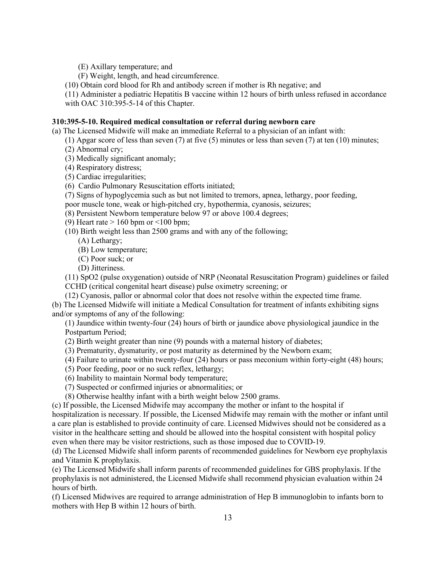- (E) Axillary temperature; and
- (F) Weight, length, and head circumference.
- (10) Obtain cord blood for Rh and antibody screen if mother is Rh negative; and
- (11) Administer a pediatric Hepatitis B vaccine within 12 hours of birth unless refused in accordance

with OAC 310:395-5-14 of this Chapter.

### **310:395-5-10. Required medical consultation or referral during newborn care**

(a) The Licensed Midwife will make an immediate Referral to a physician of an infant with:

- (1) Apgar score of less than seven (7) at five (5) minutes or less than seven (7) at ten (10) minutes;
- (2) Abnormal cry;

(3) Medically significant anomaly;

- (4) Respiratory distress;
- (5) Cardiac irregularities;
- (6) Cardio Pulmonary Resuscitation efforts initiated;
- (7) Signs of hypoglycemia such as but not limited to tremors, apnea, lethargy, poor feeding,
- poor muscle tone, weak or high-pitched cry, hypothermia, cyanosis, seizures;
- (8) Persistent Newborn temperature below 97 or above 100.4 degrees;
- (9) Heart rate  $> 160$  bpm or  $\leq 100$  bpm;
- (10) Birth weight less than 2500 grams and with any of the following;
	- (A) Lethargy;
	- (B) Low temperature;
	- (C) Poor suck; or
	- (D) Jitteriness.

(11) SpO2 (pulse oxygenation) outside of NRP (Neonatal Resuscitation Program) guidelines or failed

CCHD (critical congenital heart disease) pulse oximetry screening; or

(12) Cyanosis, pallor or abnormal color that does not resolve within the expected time frame. (b) The Licensed Midwife will initiate a Medical Consultation for treatment of infants exhibiting signs and/or symptoms of any of the following:

(1) Jaundice within twenty-four (24) hours of birth or jaundice above physiological jaundice in the Postpartum Period;

- (2) Birth weight greater than nine (9) pounds with a maternal history of diabetes;
- (3) Prematurity, dysmaturity, or post maturity as determined by the Newborn exam;
- (4) Failure to urinate within twenty-four (24) hours or pass meconium within forty-eight (48) hours;
- (5) Poor feeding, poor or no suck reflex, lethargy;
- (6) Inability to maintain Normal body temperature;
- (7) Suspected or confirmed injuries or abnormalities; or
- (8) Otherwise healthy infant with a birth weight below 2500 grams.

(c) If possible, the Licensed Midwife may accompany the mother or infant to the hospital if hospitalization is necessary. If possible, the Licensed Midwife may remain with the mother or infant until a care plan is established to provide continuity of care. Licensed Midwives should not be considered as a visitor in the healthcare setting and should be allowed into the hospital consistent with hospital policy even when there may be visitor restrictions, such as those imposed due to COVID-19.

(d) The Licensed Midwife shall inform parents of recommended guidelines for Newborn eye prophylaxis and Vitamin K prophylaxis.

(e) The Licensed Midwife shall inform parents of recommended guidelines for GBS prophylaxis. If the prophylaxis is not administered, the Licensed Midwife shall recommend physician evaluation within 24 hours of birth.

(f) Licensed Midwives are required to arrange administration of Hep B immunoglobin to infants born to mothers with Hep B within 12 hours of birth.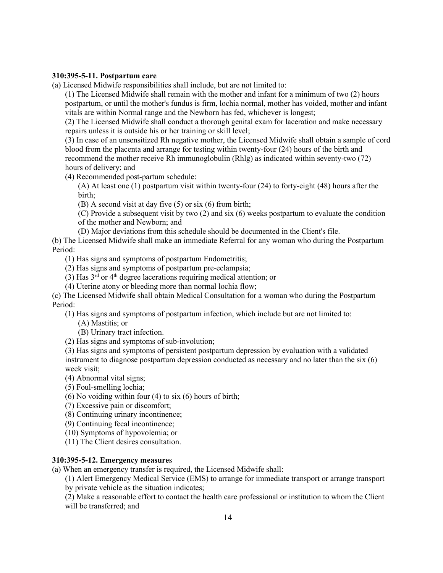### **310:395-5-11. Postpartum care**

(a) Licensed Midwife responsibilities shall include, but are not limited to:

(1) The Licensed Midwife shall remain with the mother and infant for a minimum of two (2) hours postpartum, or until the mother's fundus is firm, lochia normal, mother has voided, mother and infant vitals are within Normal range and the Newborn has fed, whichever is longest;

(2) The Licensed Midwife shall conduct a thorough genital exam for laceration and make necessary repairs unless it is outside his or her training or skill level;

(3) In case of an unsensitized Rh negative mother, the Licensed Midwife shall obtain a sample of cord blood from the placenta and arrange for testing within twenty-four (24) hours of the birth and recommend the mother receive Rh immunoglobulin (Rhlg) as indicated within seventy-two (72) hours of delivery; and

(4) Recommended post-partum schedule:

(A) At least one (1) postpartum visit within twenty-four (24) to forty-eight (48) hours after the birth;

(B) A second visit at day five (5) or six (6) from birth;

(C) Provide a subsequent visit by two (2) and six (6) weeks postpartum to evaluate the condition of the mother and Newborn; and

(D) Major deviations from this schedule should be documented in the Client's file.

(b) The Licensed Midwife shall make an immediate Referral for any woman who during the Postpartum Period:

(1) Has signs and symptoms of postpartum Endometritis;

(2) Has signs and symptoms of postpartum pre-eclampsia;

(3) Has  $3<sup>rd</sup>$  or  $4<sup>th</sup>$  degree lacerations requiring medical attention; or

(4) Uterine atony or bleeding more than normal lochia flow;

(c) The Licensed Midwife shall obtain Medical Consultation for a woman who during the Postpartum Period:

(1) Has signs and symptoms of postpartum infection, which include but are not limited to:

- (A) Mastitis; or
- (B) Urinary tract infection.
- (2) Has signs and symptoms of sub-involution;

(3) Has signs and symptoms of persistent postpartum depression by evaluation with a validated instrument to diagnose postpartum depression conducted as necessary and no later than the six (6) week visit;

(4) Abnormal vital signs;

- (5) Foul-smelling lochia;
- (6) No voiding within four (4) to six (6) hours of birth;
- (7) Excessive pain or discomfort;
- (8) Continuing urinary incontinence;
- (9) Continuing fecal incontinence;
- (10) Symptoms of hypovolemia; or
- (11) The Client desires consultation.

#### **310:395-5-12. Emergency measure**s

(a) When an emergency transfer is required, the Licensed Midwife shall:

(1) Alert Emergency Medical Service (EMS) to arrange for immediate transport or arrange transport by private vehicle as the situation indicates;

(2) Make a reasonable effort to contact the health care professional or institution to whom the Client will be transferred; and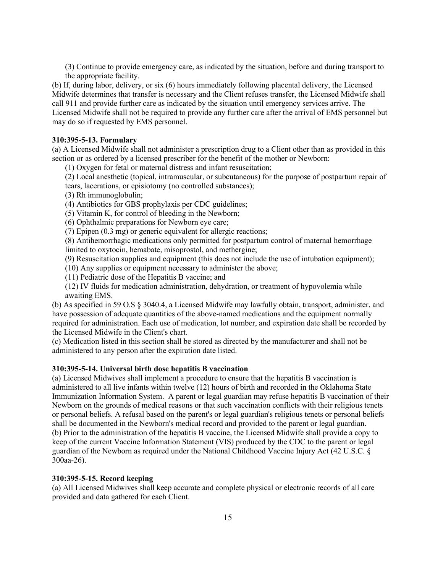(3) Continue to provide emergency care, as indicated by the situation, before and during transport to the appropriate facility.

(b) If, during labor, delivery, or six (6) hours immediately following placental delivery, the Licensed Midwife determines that transfer is necessary and the Client refuses transfer, the Licensed Midwife shall call 911 and provide further care as indicated by the situation until emergency services arrive. The Licensed Midwife shall not be required to provide any further care after the arrival of EMS personnel but may do so if requested by EMS personnel.

### **310:395-5-13. Formulary**

(a) A Licensed Midwife shall not administer a prescription drug to a Client other than as provided in this section or as ordered by a licensed prescriber for the benefit of the mother or Newborn:

(1) Oxygen for fetal or maternal distress and infant resuscitation;

(2) Local anesthetic (topical, intramuscular, or subcutaneous) for the purpose of postpartum repair of tears, lacerations, or episiotomy (no controlled substances);

(3) Rh immunoglobulin;

- (4) Antibiotics for GBS prophylaxis per CDC guidelines;
- (5) Vitamin K, for control of bleeding in the Newborn;

(6) Ophthalmic preparations for Newborn eye care;

(7) Epipen (0.3 mg) or generic equivalent for allergic reactions;

(8) Antihemorrhagic medications only permitted for postpartum control of maternal hemorrhage limited to oxytocin, hemabate, misoprostol, and methergine;

(9) Resuscitation supplies and equipment (this does not include the use of intubation equipment);

(10) Any supplies or equipment necessary to administer the above;

(11) Pediatric dose of the Hepatitis B vaccine; and

(12) IV fluids for medication administration, dehydration, or treatment of hypovolemia while awaiting EMS.

(b) As specified in 59 O.S § 3040.4, a Licensed Midwife may lawfully obtain, transport, administer, and have possession of adequate quantities of the above-named medications and the equipment normally required for administration. Each use of medication, lot number, and expiration date shall be recorded by the Licensed Midwife in the Client's chart.

(c) Medication listed in this section shall be stored as directed by the manufacturer and shall not be administered to any person after the expiration date listed.

#### **310:395-5-14. Universal birth dose hepatitis B vaccination**

(a) Licensed Midwives shall implement a procedure to ensure that the hepatitis B vaccination is administered to all live infants within twelve (12) hours of birth and recorded in the Oklahoma State Immunization Information System. A parent or legal guardian may refuse hepatitis B vaccination of their Newborn on the grounds of medical reasons or that such vaccination conflicts with their religious tenets or personal beliefs. A refusal based on the parent's or legal guardian's religious tenets or personal beliefs shall be documented in the Newborn's medical record and provided to the parent or legal guardian. (b) Prior to the administration of the hepatitis B vaccine, the Licensed Midwife shall provide a copy to keep of the current Vaccine Information Statement (VIS) produced by the CDC to the parent or legal guardian of the Newborn as required under the National Childhood Vaccine Injury Act (42 U.S.C. § 300aa-26).

### **310:395-5-15. Record keeping**

(a) All Licensed Midwives shall keep accurate and complete physical or electronic records of all care provided and data gathered for each Client.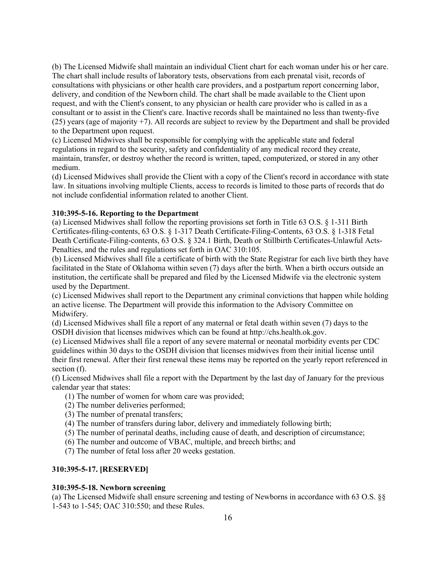(b) The Licensed Midwife shall maintain an individual Client chart for each woman under his or her care. The chart shall include results of laboratory tests, observations from each prenatal visit, records of consultations with physicians or other health care providers, and a postpartum report concerning labor, delivery, and condition of the Newborn child. The chart shall be made available to the Client upon request, and with the Client's consent, to any physician or health care provider who is called in as a consultant or to assist in the Client's care. Inactive records shall be maintained no less than twenty-five (25) years (age of majority +7). All records are subject to review by the Department and shall be provided to the Department upon request.

(c) Licensed Midwives shall be responsible for complying with the applicable state and federal regulations in regard to the security, safety and confidentiality of any medical record they create, maintain, transfer, or destroy whether the record is written, taped, computerized, or stored in any other medium.

(d) Licensed Midwives shall provide the Client with a copy of the Client's record in accordance with state law. In situations involving multiple Clients, access to records is limited to those parts of records that do not include confidential information related to another Client.

# **310:395-5-16. Reporting to the Department**

(a) Licensed Midwives shall follow the reporting provisions set forth in Title 63 O.S. § 1-311 Birth Certificates-filing-contents, 63 O.S. § 1-317 Death Certificate-Filing-Contents, 63 O.S. § 1-318 Fetal Death Certificate-Filing-contents, 63 O.S. § 324.1 Birth, Death or Stillbirth Certificates-Unlawful Acts-Penalties, and the rules and regulations set forth in OAC 310:105.

(b) Licensed Midwives shall file a certificate of birth with the State Registrar for each live birth they have facilitated in the State of Oklahoma within seven (7) days after the birth. When a birth occurs outside an institution, the certificate shall be prepared and filed by the Licensed Midwife via the electronic system used by the Department.

(c) Licensed Midwives shall report to the Department any criminal convictions that happen while holding an active license. The Department will provide this information to the Advisory Committee on Midwifery.

(d) Licensed Midwives shall file a report of any maternal or fetal death within seven (7) days to the OSDH division that licenses midwives which can be found at http://chs.health.ok.gov.

(e) Licensed Midwives shall file a report of any severe maternal or neonatal morbidity events per CDC guidelines within 30 days to the OSDH division that licenses midwives from their initial license until their first renewal. After their first renewal these items may be reported on the yearly report referenced in section (f).

(f) Licensed Midwives shall file a report with the Department by the last day of January for the previous calendar year that states:

- (1) The number of women for whom care was provided;
- (2) The number deliveries performed;
- (3) The number of prenatal transfers;
- (4) The number of transfers during labor, delivery and immediately following birth;
- (5) The number of perinatal deaths, including cause of death, and description of circumstance;
- (6) The number and outcome of VBAC, multiple, and breech births; and
- (7) The number of fetal loss after 20 weeks gestation.

# **310:395-5-17. [RESERVED]**

### **310:395-5-18. Newborn screening**

(a) The Licensed Midwife shall ensure screening and testing of Newborns in accordance with 63 O.S. §§ 1-543 to 1-545; OAC 310:550; and these Rules.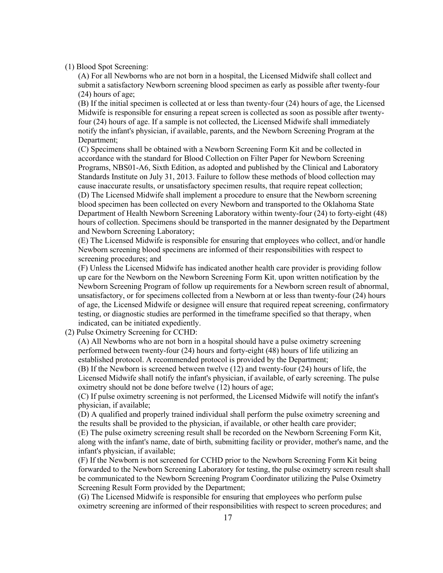(1) Blood Spot Screening:

(A) For all Newborns who are not born in a hospital, the Licensed Midwife shall collect and submit a satisfactory Newborn screening blood specimen as early as possible after twenty-four (24) hours of age;

(B) If the initial specimen is collected at or less than twenty-four (24) hours of age, the Licensed Midwife is responsible for ensuring a repeat screen is collected as soon as possible after twentyfour (24) hours of age. If a sample is not collected, the Licensed Midwife shall immediately notify the infant's physician, if available, parents, and the Newborn Screening Program at the Department;

(C) Specimens shall be obtained with a Newborn Screening Form Kit and be collected in accordance with the standard for Blood Collection on Filter Paper for Newborn Screening Programs, NBS01-A6, Sixth Edition, as adopted and published by the Clinical and Laboratory Standards Institute on July 31, 2013. Failure to follow these methods of blood collection may cause inaccurate results, or unsatisfactory specimen results, that require repeat collection; (D) The Licensed Midwife shall implement a procedure to ensure that the Newborn screening blood specimen has been collected on every Newborn and transported to the Oklahoma State Department of Health Newborn Screening Laboratory within twenty-four (24) to forty-eight (48) hours of collection. Specimens should be transported in the manner designated by the Department and Newborn Screening Laboratory;

(E) The Licensed Midwife is responsible for ensuring that employees who collect, and/or handle Newborn screening blood specimens are informed of their responsibilities with respect to screening procedures; and

(F) Unless the Licensed Midwife has indicated another health care provider is providing follow up care for the Newborn on the Newborn Screening Form Kit, upon written notification by the Newborn Screening Program of follow up requirements for a Newborn screen result of abnormal, unsatisfactory, or for specimens collected from a Newborn at or less than twenty-four (24) hours of age, the Licensed Midwife or designee will ensure that required repeat screening, confirmatory testing, or diagnostic studies are performed in the timeframe specified so that therapy, when indicated, can be initiated expediently.

(2) Pulse Oximetry Screening for CCHD:

(A) All Newborns who are not born in a hospital should have a pulse oximetry screening performed between twenty-four (24) hours and forty-eight (48) hours of life utilizing an established protocol. A recommended protocol is provided by the Department;

(B) If the Newborn is screened between twelve (12) and twenty-four (24) hours of life, the Licensed Midwife shall notify the infant's physician, if available, of early screening. The pulse oximetry should not be done before twelve (12) hours of age;

(C) If pulse oximetry screening is not performed, the Licensed Midwife will notify the infant's physician, if available;

(D) A qualified and properly trained individual shall perform the pulse oximetry screening and the results shall be provided to the physician, if available, or other health care provider; (E) The pulse oximetry screening result shall be recorded on the Newborn Screening Form Kit, along with the infant's name, date of birth, submitting facility or provider, mother's name, and the infant's physician, if available;

(F) If the Newborn is not screened for CCHD prior to the Newborn Screening Form Kit being forwarded to the Newborn Screening Laboratory for testing, the pulse oximetry screen result shall be communicated to the Newborn Screening Program Coordinator utilizing the Pulse Oximetry Screening Result Form provided by the Department;

(G) The Licensed Midwife is responsible for ensuring that employees who perform pulse oximetry screening are informed of their responsibilities with respect to screen procedures; and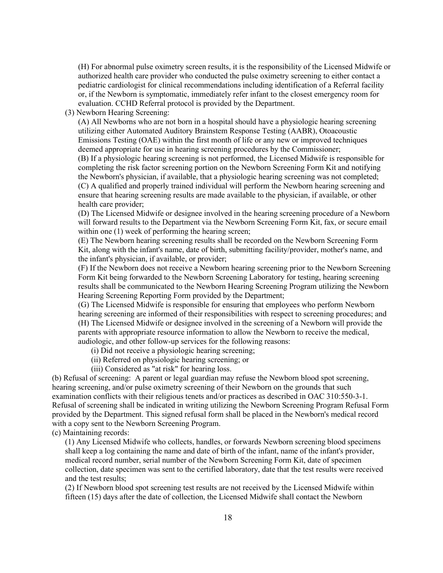(H) For abnormal pulse oximetry screen results, it is the responsibility of the Licensed Midwife or authorized health care provider who conducted the pulse oximetry screening to either contact a pediatric cardiologist for clinical recommendations including identification of a Referral facility or, if the Newborn is symptomatic, immediately refer infant to the closest emergency room for evaluation. CCHD Referral protocol is provided by the Department.

(3) Newborn Hearing Screening:

(A) All Newborns who are not born in a hospital should have a physiologic hearing screening utilizing either Automated Auditory Brainstem Response Testing (AABR), Otoacoustic Emissions Testing (OAE) within the first month of life or any new or improved techniques deemed appropriate for use in hearing screening procedures by the Commissioner;

(B) If a physiologic hearing screening is not performed, the Licensed Midwife is responsible for completing the risk factor screening portion on the Newborn Screening Form Kit and notifying the Newborn's physician, if available, that a physiologic hearing screening was not completed; (C) A qualified and properly trained individual will perform the Newborn hearing screening and ensure that hearing screening results are made available to the physician, if available, or other health care provider;

(D) The Licensed Midwife or designee involved in the hearing screening procedure of a Newborn will forward results to the Department via the Newborn Screening Form Kit, fax, or secure email within one (1) week of performing the hearing screen;

(E) The Newborn hearing screening results shall be recorded on the Newborn Screening Form Kit, along with the infant's name, date of birth, submitting facility/provider, mother's name, and the infant's physician, if available, or provider;

(F) If the Newborn does not receive a Newborn hearing screening prior to the Newborn Screening Form Kit being forwarded to the Newborn Screening Laboratory for testing, hearing screening results shall be communicated to the Newborn Hearing Screening Program utilizing the Newborn Hearing Screening Reporting Form provided by the Department;

(G) The Licensed Midwife is responsible for ensuring that employees who perform Newborn hearing screening are informed of their responsibilities with respect to screening procedures; and (H) The Licensed Midwife or designee involved in the screening of a Newborn will provide the parents with appropriate resource information to allow the Newborn to receive the medical, audiologic, and other follow-up services for the following reasons:

(i) Did not receive a physiologic hearing screening;

(ii) Referred on physiologic hearing screening; or

(iii) Considered as "at risk" for hearing loss.

(b) Refusal of screening: A parent or legal guardian may refuse the Newborn blood spot screening, hearing screening, and/or pulse oximetry screening of their Newborn on the grounds that such examination conflicts with their religious tenets and/or practices as described in OAC 310:550-3-1. Refusal of screening shall be indicated in writing utilizing the Newborn Screening Program Refusal Form provided by the Department. This signed refusal form shall be placed in the Newborn's medical record with a copy sent to the Newborn Screening Program.

(c) Maintaining records:

(1) Any Licensed Midwife who collects, handles, or forwards Newborn screening blood specimens shall keep a log containing the name and date of birth of the infant, name of the infant's provider, medical record number, serial number of the Newborn Screening Form Kit, date of specimen collection, date specimen was sent to the certified laboratory, date that the test results were received and the test results;

(2) If Newborn blood spot screening test results are not received by the Licensed Midwife within fifteen (15) days after the date of collection, the Licensed Midwife shall contact the Newborn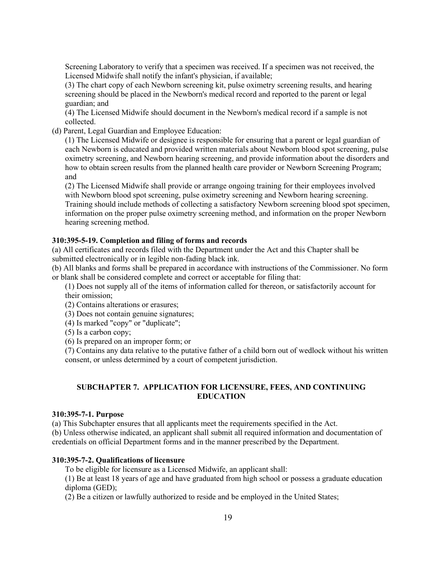Screening Laboratory to verify that a specimen was received. If a specimen was not received, the Licensed Midwife shall notify the infant's physician, if available;

(3) The chart copy of each Newborn screening kit, pulse oximetry screening results, and hearing screening should be placed in the Newborn's medical record and reported to the parent or legal guardian; and

(4) The Licensed Midwife should document in the Newborn's medical record if a sample is not collected.

(d) Parent, Legal Guardian and Employee Education:

(1) The Licensed Midwife or designee is responsible for ensuring that a parent or legal guardian of each Newborn is educated and provided written materials about Newborn blood spot screening, pulse oximetry screening, and Newborn hearing screening, and provide information about the disorders and how to obtain screen results from the planned health care provider or Newborn Screening Program; and

(2) The Licensed Midwife shall provide or arrange ongoing training for their employees involved with Newborn blood spot screening, pulse oximetry screening and Newborn hearing screening. Training should include methods of collecting a satisfactory Newborn screening blood spot specimen, information on the proper pulse oximetry screening method, and information on the proper Newborn hearing screening method.

### **310:395-5-19. Completion and filing of forms and records**

(a) All certificates and records filed with the Department under the Act and this Chapter shall be submitted electronically or in legible non-fading black ink.

(b) All blanks and forms shall be prepared in accordance with instructions of the Commissioner. No form or blank shall be considered complete and correct or acceptable for filing that:

(1) Does not supply all of the items of information called for thereon, or satisfactorily account for their omission;

- (2) Contains alterations or erasures;
- (3) Does not contain genuine signatures;
- (4) Is marked "copy" or "duplicate";

(5) Is a carbon copy;

(6) Is prepared on an improper form; or

(7) Contains any data relative to the putative father of a child born out of wedlock without his written consent, or unless determined by a court of competent jurisdiction.

# **SUBCHAPTER 7. APPLICATION FOR LICENSURE, FEES, AND CONTINUING EDUCATION**

### **310:395-7-1. Purpose**

(a) This Subchapter ensures that all applicants meet the requirements specified in the Act. (b) Unless otherwise indicated, an applicant shall submit all required information and documentation of

credentials on official Department forms and in the manner prescribed by the Department.

### **310:395-7-2. Qualifications of licensure**

To be eligible for licensure as a Licensed Midwife, an applicant shall:

(1) Be at least 18 years of age and have graduated from high school or possess a graduate education diploma (GED);

(2) Be a citizen or lawfully authorized to reside and be employed in the United States;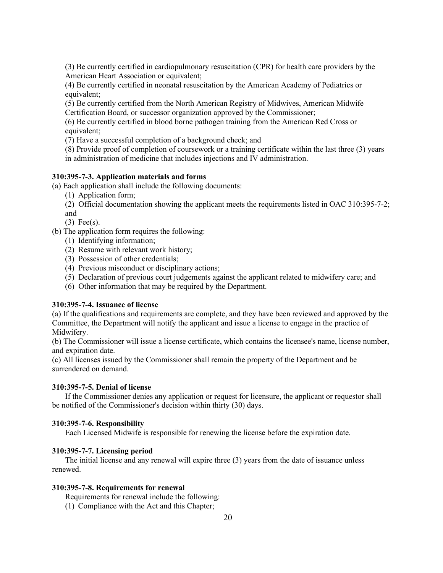(3) Be currently certified in cardiopulmonary resuscitation (CPR) for health care providers by the American Heart Association or equivalent;

(4) Be currently certified in neonatal resuscitation by the American Academy of Pediatrics or equivalent;

(5) Be currently certified from the North American Registry of Midwives, American Midwife Certification Board, or successor organization approved by the Commissioner;

(6) Be currently certified in blood borne pathogen training from the American Red Cross or equivalent;

(7) Have a successful completion of a background check; and

(8) Provide proof of completion of coursework or a training certificate within the last three (3) years in administration of medicine that includes injections and IV administration.

### **310:395-7-3. Application materials and forms**

(a) Each application shall include the following documents:

(1) Application form;

(2) Official documentation showing the applicant meets the requirements listed in OAC 310:395-7-2; and

(3) Fee(s).

(b) The application form requires the following:

- (1) Identifying information;
- (2) Resume with relevant work history;
- (3) Possession of other credentials;
- (4) Previous misconduct or disciplinary actions;
- (5) Declaration of previous court judgements against the applicant related to midwifery care; and
- (6) Other information that may be required by the Department.

### **310:395-7-4. Issuance of license**

(a) If the qualifications and requirements are complete, and they have been reviewed and approved by the Committee, the Department will notify the applicant and issue a license to engage in the practice of Midwifery.

(b) The Commissioner will issue a license certificate, which contains the licensee's name, license number, and expiration date.

(c) All licenses issued by the Commissioner shall remain the property of the Department and be surrendered on demand.

# **310:395-7-5. Denial of license**

If the Commissioner denies any application or request for licensure, the applicant or requestor shall be notified of the Commissioner's decision within thirty (30) days.

### **310:395-7-6. Responsibility**

Each Licensed Midwife is responsible for renewing the license before the expiration date.

### **310:395-7-7. Licensing period**

The initial license and any renewal will expire three (3) years from the date of issuance unless renewed.

#### **310:395-7-8. Requirements for renewal**

Requirements for renewal include the following:

(1) Compliance with the Act and this Chapter;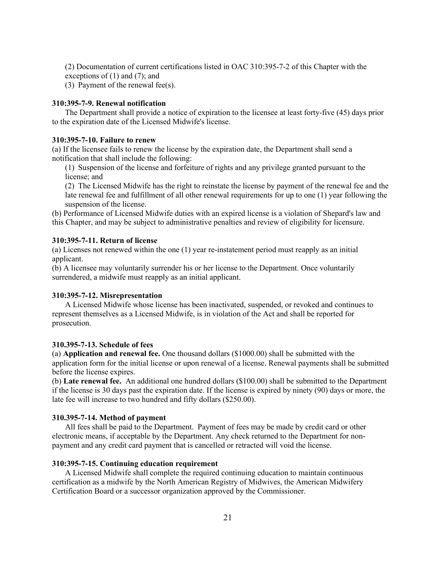(2) Documentation of current certifications listed in OAC 310:395-7-2 of this Chapter with the exceptions of (1) and (7); and

(3) Payment of the renewal fee(s).

# **310:395-7-9. Renewal notification**

The Department shall provide a notice of expiration to the licensee at least forty-five (45) days prior to the expiration date of the Licensed Midwife's license.

# **310:395-7-10. Failure to renew**

(a) If the licensee fails to renew the license by the expiration date, the Department shall send a notification that shall include the following:

(1) Suspension of the license and forfeiture of rights and any privilege granted pursuant to the license; and

(2) The Licensed Midwife has the right to reinstate the license by payment of the renewal fee and the late renewal fee and fulfillment of all other renewal requirements for up to one (1) year following the suspension of the license.

(b) Performance of Licensed Midwife duties with an expired license is a violation of Shepard's law and this Chapter, and may be subject to administrative penalties and review of eligibility for licensure.

### **310:395-7-11. Return of license**

(a) Licenses not renewed within the one (1) year re-instatement period must reapply as an initial applicant.

(b) A licensee may voluntarily surrender his or her license to the Department. Once voluntarily surrendered, a midwife must reapply as an initial applicant.

#### **310:395-7-12. Misrepresentation**

A Licensed Midwife whose license has been inactivated, suspended, or revoked and continues to represent themselves as a Licensed Midwife, is in violation of the Act and shall be reported for prosecution.

### **310.395-7-13. Schedule of fees**

(a) **Application and renewal fee.** One thousand dollars (\$1000.00) shall be submitted with the application form for the initial license or upon renewal of a license. Renewal payments shall be submitted before the license expires.

(b) **Late renewal fee.** An additional one hundred dollars (\$100.00) shall be submitted to the Department if the license is 30 days past the expiration date. If the license is expired by ninety (90) days or more, the late fee will increase to two hundred and fifty dollars (\$250.00).

#### **310.395-7-14. Method of payment**

All fees shall be paid to the Department. Payment of fees may be made by credit card or other electronic means, if acceptable by the Department. Any check returned to the Department for nonpayment and any credit card payment that is cancelled or retracted will void the license.

#### **310:395-7-15. Continuing education requirement**

A Licensed Midwife shall complete the required continuing education to maintain continuous certification as a midwife by the North American Registry of Midwives, the American Midwifery Certification Board or a successor organization approved by the Commissioner.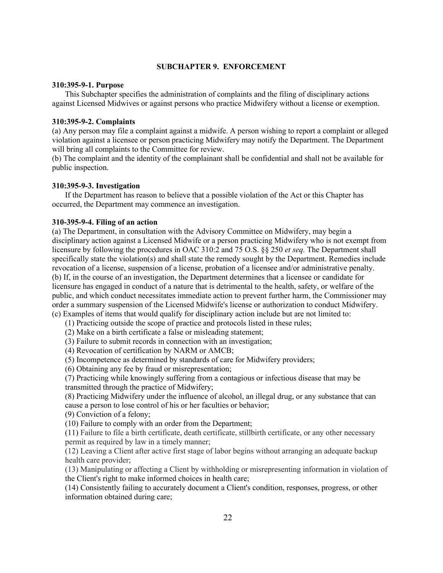### **SUBCHAPTER 9. ENFORCEMENT**

# **310:395-9-1. Purpose**

This Subchapter specifies the administration of complaints and the filing of disciplinary actions against Licensed Midwives or against persons who practice Midwifery without a license or exemption.

### **310:395-9-2. Complaints**

(a) Any person may file a complaint against a midwife. A person wishing to report a complaint or alleged violation against a licensee or person practicing Midwifery may notify the Department. The Department will bring all complaints to the Committee for review.

(b) The complaint and the identity of the complainant shall be confidential and shall not be available for public inspection.

### **310:395-9-3. Investigation**

If the Department has reason to believe that a possible violation of the Act or this Chapter has occurred, the Department may commence an investigation.

### **310-395-9-4. Filing of an action**

(a) The Department, in consultation with the Advisory Committee on Midwifery, may begin a disciplinary action against a Licensed Midwife or a person practicing Midwifery who is not exempt from licensure by following the procedures in OAC 310:2 and 75 O.S. §§ 250 *et seq.* The Department shall specifically state the violation(s) and shall state the remedy sought by the Department. Remedies include revocation of a license, suspension of a license, probation of a licensee and/or administrative penalty. (b) If, in the course of an investigation, the Department determines that a licensee or candidate for licensure has engaged in conduct of a nature that is detrimental to the health, safety, or welfare of the public, and which conduct necessitates immediate action to prevent further harm, the Commissioner may order a summary suspension of the Licensed Midwife's license or authorization to conduct Midwifery. (c) Examples of items that would qualify for disciplinary action include but are not limited to:

- (1) Practicing outside the scope of practice and protocols listed in these rules;
- (2) Make on a birth certificate a false or misleading statement;
- (3) Failure to submit records in connection with an investigation;
- (4) Revocation of certification by NARM or AMCB;
- (5) Incompetence as determined by standards of care for Midwifery providers;
- (6) Obtaining any fee by fraud or misrepresentation;

(7) Practicing while knowingly suffering from a contagious or infectious disease that may be transmitted through the practice of Midwifery;

(8) Practicing Midwifery under the influence of alcohol, an illegal drug, or any substance that can cause a person to lose control of his or her faculties or behavior;

(9) Conviction of a felony;

(10) Failure to comply with an order from the Department;

(11) Failure to file a birth certificate, death certificate, stillbirth certificate, or any other necessary permit as required by law in a timely manner;

(12) Leaving a Client after active first stage of labor begins without arranging an adequate backup health care provider;

(13) Manipulating or affecting a Client by withholding or misrepresenting information in violation of the Client's right to make informed choices in health care;

(14) Consistently failing to accurately document a Client's condition, responses, progress, or other information obtained during care;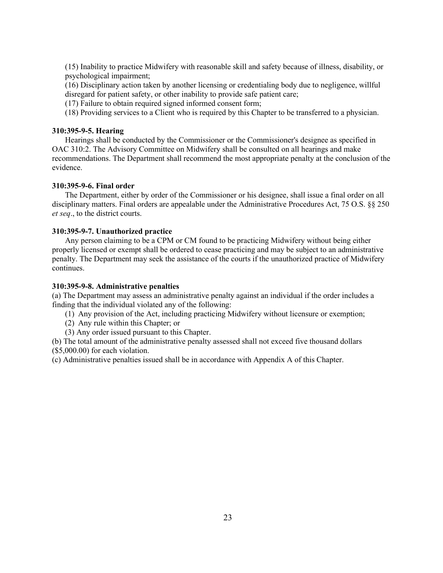(15) Inability to practice Midwifery with reasonable skill and safety because of illness, disability, or psychological impairment;

(16) Disciplinary action taken by another licensing or credentialing body due to negligence, willful disregard for patient safety, or other inability to provide safe patient care;

(17) Failure to obtain required signed informed consent form;

(18) Providing services to a Client who is required by this Chapter to be transferred to a physician.

# **310:395-9-5. Hearing**

Hearings shall be conducted by the Commissioner or the Commissioner's designee as specified in OAC 310:2. The Advisory Committee on Midwifery shall be consulted on all hearings and make recommendations. The Department shall recommend the most appropriate penalty at the conclusion of the evidence.

### **310:395-9-6. Final order**

The Department, either by order of the Commissioner or his designee, shall issue a final order on all disciplinary matters. Final orders are appealable under the Administrative Procedures Act, 75 O.S. §§ 250 *et seq*., to the district courts.

### **310:395-9-7. Unauthorized practice**

Any person claiming to be a CPM or CM found to be practicing Midwifery without being either properly licensed or exempt shall be ordered to cease practicing and may be subject to an administrative penalty. The Department may seek the assistance of the courts if the unauthorized practice of Midwifery continues.

### **310:395-9-8. Administrative penalties**

(a) The Department may assess an administrative penalty against an individual if the order includes a finding that the individual violated any of the following:

- (1) Any provision of the Act, including practicing Midwifery without licensure or exemption;
- (2) Any rule within this Chapter; or
- (3) Any order issued pursuant to this Chapter.

(b) The total amount of the administrative penalty assessed shall not exceed five thousand dollars (\$5,000.00) for each violation.

(c) Administrative penalties issued shall be in accordance with Appendix A of this Chapter.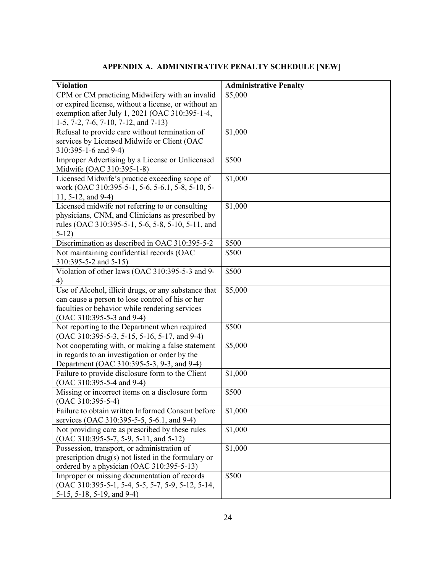# **APPENDIX A. ADMINISTRATIVE PENALTY SCHEDULE [NEW]**

| <b>Violation</b>                                                                          | <b>Administrative Penalty</b> |
|-------------------------------------------------------------------------------------------|-------------------------------|
| CPM or CM practicing Midwifery with an invalid                                            | \$5,000                       |
| or expired license, without a license, or without an                                      |                               |
| exemption after July 1, 2021 (OAC 310:395-1-4,                                            |                               |
| 1-5, 7-2, 7-6, 7-10, 7-12, and 7-13)                                                      |                               |
| Refusal to provide care without termination of                                            | \$1,000                       |
| services by Licensed Midwife or Client (OAC                                               |                               |
| 310:395-1-6 and 9-4)                                                                      |                               |
| Improper Advertising by a License or Unlicensed                                           | \$500                         |
| Midwife (OAC 310:395-1-8)                                                                 |                               |
| Licensed Midwife's practice exceeding scope of                                            | \$1,000                       |
| work (OAC 310:395-5-1, 5-6, 5-6.1, 5-8, 5-10, 5-                                          |                               |
| 11, 5-12, and 9-4)                                                                        |                               |
| Licensed midwife not referring to or consulting                                           | \$1,000                       |
| physicians, CNM, and Clinicians as prescribed by                                          |                               |
| rules (OAC 310:395-5-1, 5-6, 5-8, 5-10, 5-11, and                                         |                               |
| $5-12)$                                                                                   |                               |
| Discrimination as described in OAC 310:395-5-2                                            | \$500                         |
| Not maintaining confidential records (OAC                                                 | \$500                         |
| 310:395-5-2 and 5-15)<br>Violation of other laws (OAC 310:395-5-3 and 9-                  |                               |
| 4)                                                                                        | \$500                         |
| Use of Alcohol, illicit drugs, or any substance that                                      | \$5,000                       |
| can cause a person to lose control of his or her                                          |                               |
| faculties or behavior while rendering services                                            |                               |
| (OAC 310:395-5-3 and 9-4)                                                                 |                               |
| Not reporting to the Department when required                                             | \$500                         |
| (OAC 310:395-5-3, 5-15, 5-16, 5-17, and 9-4)                                              |                               |
| Not cooperating with, or making a false statement                                         | \$5,000                       |
| in regards to an investigation or order by the                                            |                               |
| Department (OAC 310:395-5-3, 9-3, and 9-4)                                                |                               |
| Failure to provide disclosure form to the Client                                          | \$1,000                       |
| (OAC 310:395-5-4 and 9-4)                                                                 |                               |
| Missing or incorrect items on a disclosure form                                           | \$500                         |
| $(OAC 310:395-5-4)$                                                                       |                               |
| Failure to obtain written Informed Consent before                                         | \$1,000                       |
| services (OAC 310:395-5-5, 5-6.1, and 9-4)                                                |                               |
| Not providing care as prescribed by these rules                                           | \$1,000                       |
| (OAC 310:395-5-7, 5-9, 5-11, and 5-12)                                                    |                               |
| Possession, transport, or administration of                                               | \$1,000                       |
| prescription drug(s) not listed in the formulary or                                       |                               |
| ordered by a physician (OAC 310:395-5-13)<br>Improper or missing documentation of records | \$500                         |
| (OAC 310:395-5-1, 5-4, 5-5, 5-7, 5-9, 5-12, 5-14,                                         |                               |
|                                                                                           |                               |